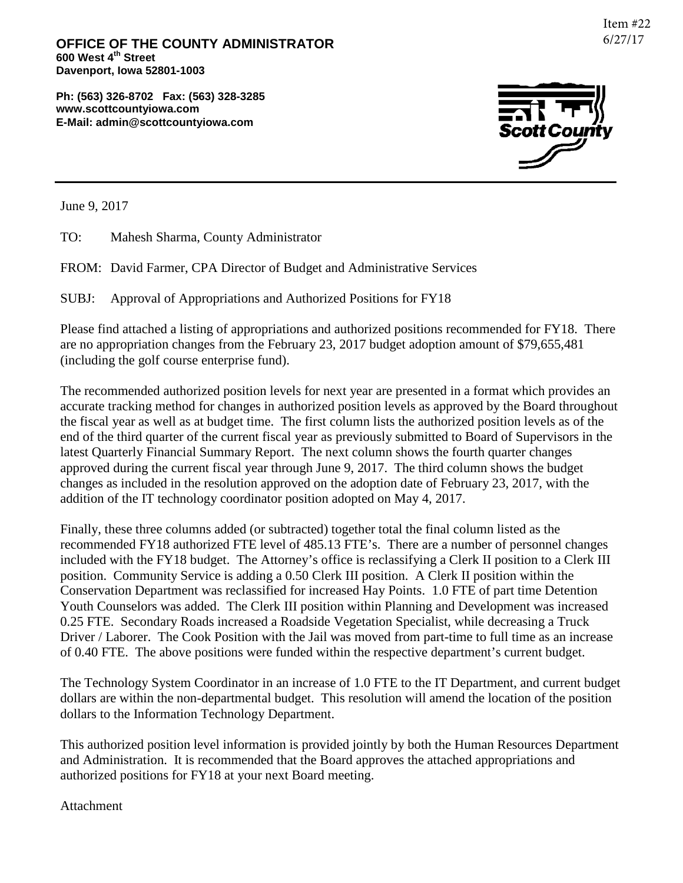**OFFICE OF THE COUNTY ADMINISTRATOR 600 West 4th Street Davenport, Iowa 52801-1003**

**Ph: (563) 326-8702 Fax: (563) 328-3285 www.scottcountyiowa.com E-Mail: admin@scottcountyiowa.com**



June 9, 2017

TO: Mahesh Sharma, County Administrator

FROM: David Farmer, CPA Director of Budget and Administrative Services

SUBJ: Approval of Appropriations and Authorized Positions for FY18

Please find attached a listing of appropriations and authorized positions recommended for FY18. There are no appropriation changes from the February 23, 2017 budget adoption amount of \$79,655,481 (including the golf course enterprise fund).

The recommended authorized position levels for next year are presented in a format which provides an accurate tracking method for changes in authorized position levels as approved by the Board throughout the fiscal year as well as at budget time. The first column lists the authorized position levels as of the end of the third quarter of the current fiscal year as previously submitted to Board of Supervisors in the latest Quarterly Financial Summary Report. The next column shows the fourth quarter changes approved during the current fiscal year through June 9, 2017. The third column shows the budget changes as included in the resolution approved on the adoption date of February 23, 2017, with the addition of the IT technology coordinator position adopted on May 4, 2017.

Finally, these three columns added (or subtracted) together total the final column listed as the recommended FY18 authorized FTE level of 485.13 FTE's. There are a number of personnel changes included with the FY18 budget. The Attorney's office is reclassifying a Clerk II position to a Clerk III position. Community Service is adding a 0.50 Clerk III position. A Clerk II position within the Conservation Department was reclassified for increased Hay Points. 1.0 FTE of part time Detention Youth Counselors was added. The Clerk III position within Planning and Development was increased 0.25 FTE. Secondary Roads increased a Roadside Vegetation Specialist, while decreasing a Truck Driver / Laborer. The Cook Position with the Jail was moved from part-time to full time as an increase of 0.40 FTE. The above positions were funded within the respective department's current budget.

The Technology System Coordinator in an increase of 1.0 FTE to the IT Department, and current budget dollars are within the non-departmental budget. This resolution will amend the location of the position dollars to the Information Technology Department.

This authorized position level information is provided jointly by both the Human Resources Department and Administration. It is recommended that the Board approves the attached appropriations and authorized positions for FY18 at your next Board meeting.

Attachment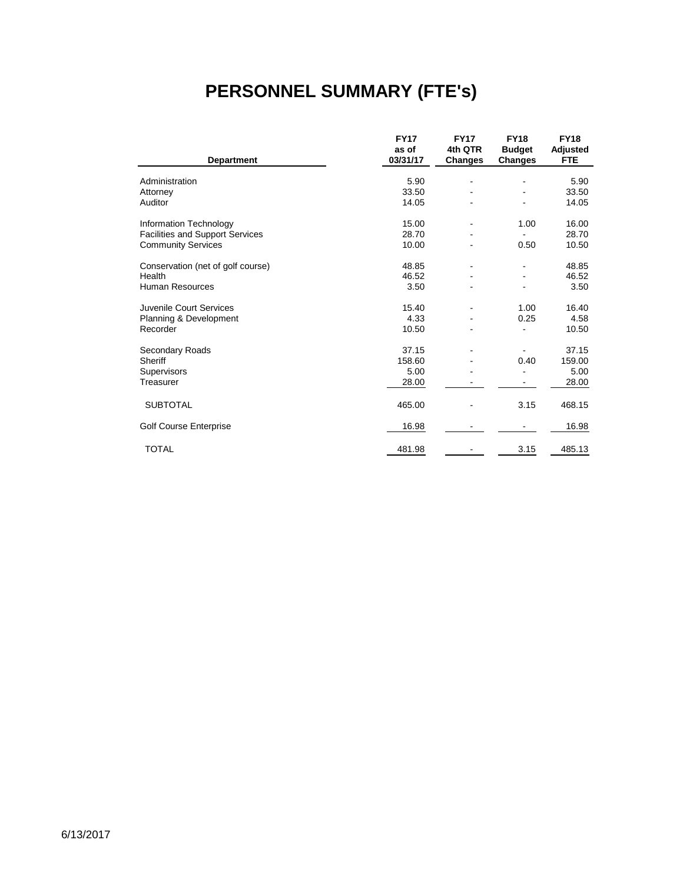# **PERSONNEL SUMMARY (FTE's)**

|                                        | <b>FY17</b>       | <b>FY17</b>               | <b>FY18</b>                     | <b>FY18</b>            |
|----------------------------------------|-------------------|---------------------------|---------------------------------|------------------------|
| <b>Department</b>                      | as of<br>03/31/17 | 4th QTR<br><b>Changes</b> | <b>Budget</b><br><b>Changes</b> | Adjusted<br><b>FTE</b> |
|                                        |                   |                           |                                 |                        |
| Administration                         | 5.90              |                           |                                 | 5.90                   |
| Attorney                               | 33.50             |                           |                                 | 33.50                  |
| Auditor                                | 14.05             |                           |                                 | 14.05                  |
| Information Technology                 | 15.00             |                           | 1.00                            | 16.00                  |
| <b>Facilities and Support Services</b> | 28.70             |                           |                                 | 28.70                  |
| <b>Community Services</b>              | 10.00             |                           | 0.50                            | 10.50                  |
| Conservation (net of golf course)      | 48.85             |                           |                                 | 48.85                  |
| Health                                 | 46.52             |                           |                                 | 46.52                  |
| <b>Human Resources</b>                 | 3.50              |                           |                                 | 3.50                   |
| Juvenile Court Services                | 15.40             |                           | 1.00                            | 16.40                  |
| Planning & Development                 | 4.33              |                           | 0.25                            | 4.58                   |
| Recorder                               | 10.50             |                           |                                 | 10.50                  |
| Secondary Roads                        | 37.15             |                           |                                 | 37.15                  |
| Sheriff                                | 158.60            |                           | 0.40                            | 159.00                 |
| Supervisors                            | 5.00              |                           |                                 | 5.00                   |
| Treasurer                              | 28.00             |                           |                                 | 28.00                  |
| <b>SUBTOTAL</b>                        | 465.00            |                           | 3.15                            | 468.15                 |
| <b>Golf Course Enterprise</b>          | 16.98             |                           |                                 | 16.98                  |
| <b>TOTAL</b>                           | 481.98            |                           | 3.15                            | 485.13                 |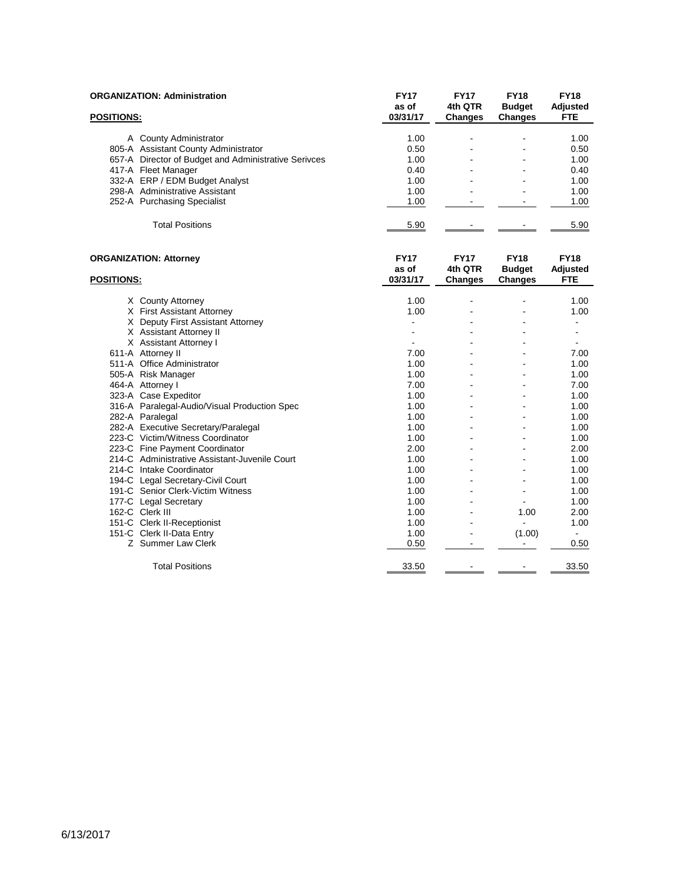|                   | <b>ORGANIZATION: Administration</b>                  | <b>FY17</b><br>as of | <b>FY17</b><br>4th QTR | <b>FY18</b><br><b>Budget</b> | <b>FY18</b><br><b>Adjusted</b> |
|-------------------|------------------------------------------------------|----------------------|------------------------|------------------------------|--------------------------------|
| <b>POSITIONS:</b> |                                                      | 03/31/17             | <b>Changes</b>         | <b>Changes</b>               | <b>FTE</b>                     |
|                   | A County Administrator                               | 1.00                 |                        |                              | 1.00                           |
|                   | 805-A Assistant County Administrator                 | 0.50                 |                        |                              | 0.50                           |
|                   | 657-A Director of Budget and Administrative Serivces | 1.00                 |                        |                              | 1.00                           |
|                   | 417-A Fleet Manager                                  | 0.40                 |                        |                              | 0.40                           |
|                   | 332-A ERP / EDM Budget Analyst                       | 1.00                 |                        |                              | 1.00                           |
|                   | 298-A Administrative Assistant                       | 1.00                 |                        |                              | 1.00                           |
|                   | 252-A Purchasing Specialist                          | 1.00                 | L.                     | ä,                           | 1.00                           |
|                   | <b>Total Positions</b>                               | 5.90                 |                        |                              | 5.90                           |
|                   | <b>ORGANIZATION: Attorney</b>                        | <b>FY17</b>          | <b>FY17</b>            | <b>FY18</b>                  | <b>FY18</b>                    |
|                   |                                                      | as of                | 4th QTR                | <b>Budget</b>                | Adjusted                       |
| <b>POSITIONS:</b> |                                                      | 03/31/17             | <b>Changes</b>         | <b>Changes</b>               | <b>FTE</b>                     |
|                   | X County Attorney                                    | 1.00                 |                        |                              | 1.00                           |
|                   | X First Assistant Attorney                           | 1.00                 |                        |                              | 1.00                           |
|                   | X Deputy First Assistant Attorney                    | ä,                   |                        |                              | ÷.                             |
|                   | X Assistant Attorney II                              |                      |                        |                              |                                |
|                   | X Assistant Attorney I                               |                      |                        |                              | ÷.                             |
|                   | 611-A Attorney II                                    | 7.00                 |                        |                              | 7.00                           |
|                   | 511-A Office Administrator                           | 1.00                 |                        |                              | 1.00                           |
|                   | 505-A Risk Manager                                   | 1.00                 |                        |                              | 1.00                           |
|                   | 464-A Attorney I                                     | 7.00                 |                        |                              | 7.00                           |
|                   | 323-A Case Expeditor                                 | 1.00                 |                        |                              | 1.00                           |
|                   | 316-A Paralegal-Audio/Visual Production Spec         | 1.00                 |                        |                              | 1.00                           |
|                   | 282-A Paralegal                                      | 1.00                 |                        |                              | 1.00                           |
|                   | 282-A Executive Secretary/Paralegal                  | 1.00                 |                        |                              | 1.00                           |
|                   | 223-C Victim/Witness Coordinator                     | 1.00                 | ÷                      |                              | 1.00                           |
|                   | 223-C Fine Payment Coordinator                       | 2.00                 |                        |                              | 2.00                           |
|                   | 214-C Administrative Assistant-Juvenile Court        | 1.00                 | ä,                     | $\blacksquare$               | 1.00                           |
|                   | 214-C Intake Coordinator                             | 1.00                 |                        |                              | 1.00                           |
|                   | 194-C Legal Secretary-Civil Court                    | 1.00                 |                        |                              | 1.00                           |
|                   | 191-C Senior Clerk-Victim Witness                    | 1.00                 |                        |                              | 1.00                           |
|                   | 177-C Legal Secretary                                | 1.00                 |                        |                              | 1.00                           |
|                   | 162-C Clerk III                                      | 1.00                 |                        | 1.00                         | 2.00                           |
|                   | 151-C Clerk II-Receptionist                          | 1.00                 |                        | L.                           | 1.00                           |
|                   | 151-C Clerk II-Data Entry                            | 1.00                 |                        | (1.00)                       | $\overline{\phantom{0}}$       |
|                   | Z Summer Law Clerk                                   | 0.50                 | $\blacksquare$         | $\sim$                       | 0.50                           |
|                   | <b>Total Positions</b>                               | 33.50                |                        |                              | 33.50                          |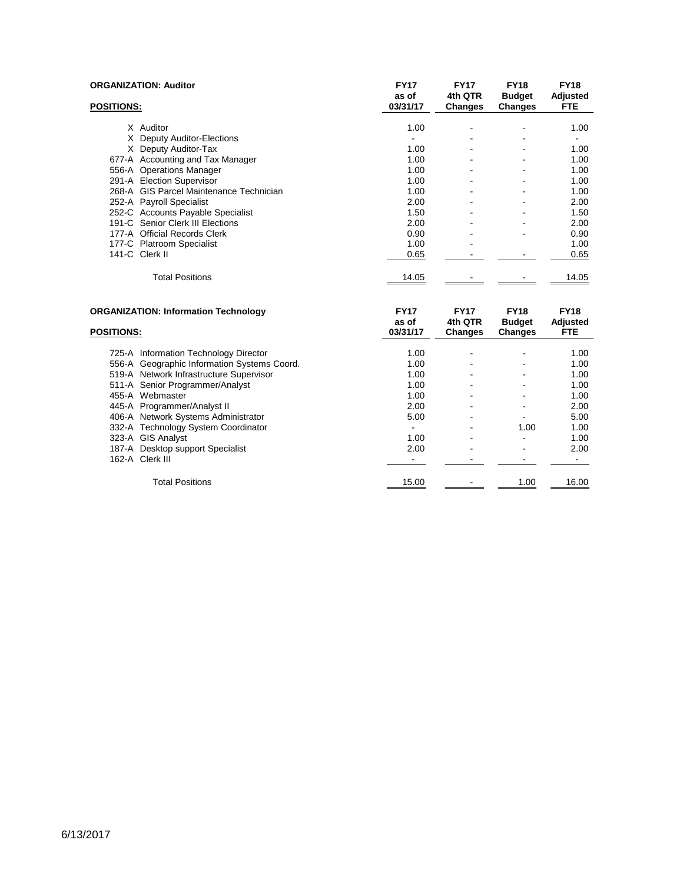| <b>ORGANIZATION: Auditor</b>                        | <b>FY17</b>          | <b>FY17</b>            | <b>FY18</b>                  | <b>FY18</b>             |
|-----------------------------------------------------|----------------------|------------------------|------------------------------|-------------------------|
|                                                     | as of                | 4th QTR                | <b>Budget</b>                | Adjusted                |
| <b>POSITIONS:</b>                                   | 03/31/17             | <b>Changes</b>         | <b>Changes</b>               | <b>FTE</b>              |
| X Auditor                                           | 1.00                 |                        |                              | 1.00                    |
| X Deputy Auditor-Elections                          |                      |                        |                              |                         |
| X Deputy Auditor-Tax                                | 1.00                 |                        |                              | 1.00                    |
| 677-A Accounting and Tax Manager                    | 1.00                 |                        |                              | 1.00                    |
| 556-A Operations Manager                            | 1.00                 |                        |                              | 1.00                    |
| 291-A Election Supervisor                           | 1.00                 |                        |                              | 1.00                    |
| 268-A GIS Parcel Maintenance Technician             | 1.00                 |                        |                              | 1.00                    |
| 252-A Payroll Specialist                            | 2.00                 |                        |                              | 2.00                    |
| 252-C Accounts Payable Specialist                   | 1.50                 |                        |                              | 1.50                    |
| 191-C Senior Clerk III Elections                    | 2.00                 |                        |                              | 2.00                    |
| 177-A Official Records Clerk                        | 0.90                 |                        |                              | 0.90                    |
| 177-C Platroom Specialist                           | 1.00                 |                        |                              | 1.00                    |
| 141-C Clerk II                                      | 0.65                 |                        |                              | 0.65                    |
| <b>Total Positions</b>                              | 14.05                |                        |                              | 14.05                   |
| <b>ORGANIZATION: Information Technology</b>         | <b>FY17</b><br>as of | <b>FY17</b><br>4th QTR | <b>FY18</b><br><b>Budget</b> | <b>FY18</b><br>Adjusted |
| <b>POSITIONS:</b>                                   | 03/31/17             | <b>Changes</b>         | Changes                      | <b>FTE</b>              |
| 725-A Information Technology Director               | 1.00                 |                        |                              | 1.00                    |
| 556-A Geographic Information Systems Coord.         | 1.00                 |                        |                              | 1.00                    |
| 519-A Network Infrastructure Supervisor             | 1.00                 |                        |                              | 1.00                    |
| 511-A Senior Programmer/Analyst                     | 1.00                 |                        |                              | 1.00                    |
| 455-A Webmaster                                     | 1.00                 |                        |                              | 1.00                    |
| 445-A Programmer/Analyst II                         | 2.00                 |                        |                              | 2.00                    |
| 406-A Network Systems Administrator                 | 5.00                 |                        |                              | 5.00                    |
| 332-A Technology System Coordinator                 |                      |                        | 1.00                         | 1.00                    |
| 323-A GIS Analyst                                   | 1.00                 |                        | $\blacksquare$               | 1.00                    |
| 187-A Desktop support Specialist<br>162-A Clerk III | 2.00                 |                        |                              | 2.00<br>۰               |
|                                                     |                      |                        |                              |                         |
| <b>Total Positions</b>                              | 15.00                |                        | 1.00                         | 16.00                   |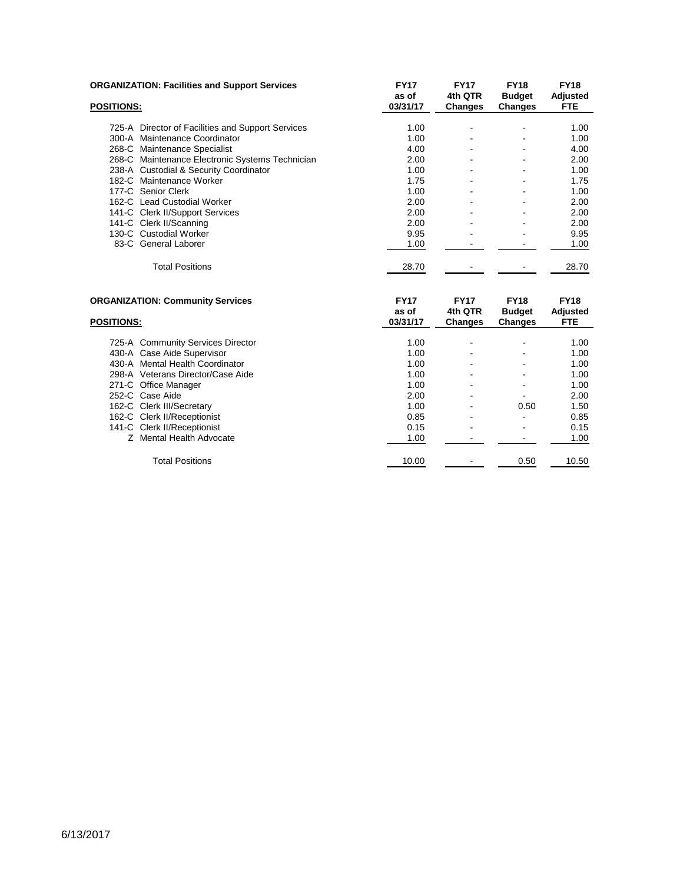|                   | <b>ORGANIZATION: Facilities and Support Services</b> | <b>FY17</b><br>as of | <b>FY17</b><br>4th QTR | <b>FY18</b><br><b>Budget</b> | <b>FY18</b><br>Adjusted |
|-------------------|------------------------------------------------------|----------------------|------------------------|------------------------------|-------------------------|
| <b>POSITIONS:</b> |                                                      | 03/31/17             | <b>Changes</b>         | <b>Changes</b>               | <b>FTE</b>              |
|                   | 725-A Director of Facilities and Support Services    | 1.00                 |                        |                              | 1.00                    |
|                   | 300-A Maintenance Coordinator                        | 1.00                 |                        | ۰                            | 1.00                    |
|                   | 268-C Maintenance Specialist                         | 4.00                 |                        |                              | 4.00                    |
|                   | 268-C Maintenance Electronic Systems Technician      | 2.00                 |                        |                              | 2.00                    |
|                   | 238-A Custodial & Security Coordinator               | 1.00                 |                        |                              | 1.00                    |
|                   | 182-C Maintenance Worker                             | 1.75                 |                        |                              | 1.75                    |
|                   | 177-C Senior Clerk                                   | 1.00                 |                        |                              | 1.00                    |
|                   | 162-C Lead Custodial Worker                          | 2.00                 |                        |                              | 2.00                    |
|                   | 141-C Clerk II/Support Services                      | 2.00                 |                        |                              | 2.00                    |
|                   | 141-C Clerk II/Scanning                              | 2.00                 |                        |                              | 2.00                    |
|                   | 130-C Custodial Worker                               | 9.95                 |                        |                              | 9.95                    |
|                   | 83-C General Laborer                                 | 1.00                 |                        |                              | 1.00                    |
|                   | <b>Total Positions</b>                               | 28.70                |                        |                              | 28.70                   |

| <b>ORGANIZATION: Community Services</b> |                                   | <b>FY17</b>       | <b>FY17</b>               | <b>FY18</b>                     | <b>FY18</b>      |
|-----------------------------------------|-----------------------------------|-------------------|---------------------------|---------------------------------|------------------|
| <b>POSITIONS:</b>                       |                                   | as of<br>03/31/17 | 4th QTR<br><b>Changes</b> | <b>Budget</b><br><b>Changes</b> | Adjusted<br>FTE. |
|                                         |                                   |                   |                           |                                 |                  |
|                                         | 725-A Community Services Director | 1.00              |                           |                                 | 1.00             |
|                                         | 430-A Case Aide Supervisor        | 1.00              |                           |                                 | 1.00             |
|                                         | 430-A Mental Health Coordinator   | 1.00              |                           |                                 | 1.00             |
|                                         | 298-A Veterans Director/Case Aide | 1.00              |                           |                                 | 1.00             |
|                                         | 271-C Office Manager              | 1.00              |                           |                                 | 1.00             |
|                                         | 252-C Case Aide                   | 2.00              |                           |                                 | 2.00             |
|                                         | 162-C Clerk III/Secretary         | 1.00              |                           | 0.50                            | 1.50             |
|                                         | 162-C Clerk II/Receptionist       | 0.85              |                           | ٠                               | 0.85             |
|                                         | 141-C Clerk II/Receptionist       | 0.15              |                           |                                 | 0.15             |
|                                         | Z Mental Health Advocate          | 1.00              |                           |                                 | 1.00             |
|                                         | <b>Total Positions</b>            | 10.00             |                           | 0.50                            | 10.50            |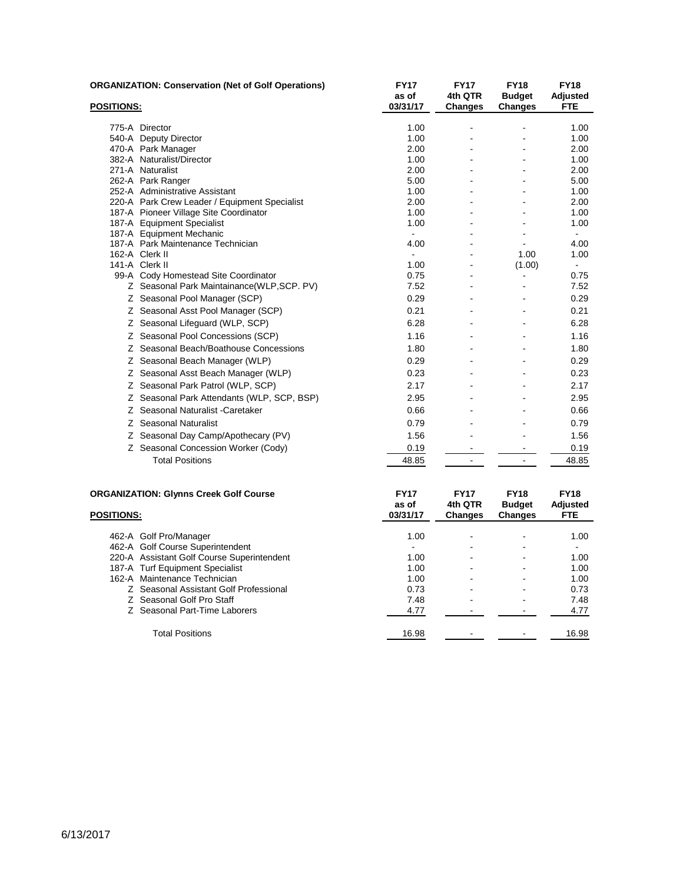| <b>POSITIONS:</b> | <b>ORGANIZATION: Conservation (Net of Golf Operations)</b>    | <b>FY17</b><br>as of<br>03/31/17 | <b>FY17</b><br>4th QTR<br><b>Changes</b> | <b>FY18</b><br><b>Budget</b><br>Changes | <b>FY18</b><br>Adjusted<br><b>FTE</b> |
|-------------------|---------------------------------------------------------------|----------------------------------|------------------------------------------|-----------------------------------------|---------------------------------------|
|                   |                                                               |                                  |                                          |                                         |                                       |
|                   | 775-A Director                                                | 1.00                             |                                          |                                         | 1.00                                  |
|                   | 540-A Deputy Director                                         | 1.00                             |                                          |                                         | 1.00                                  |
|                   | 470-A Park Manager                                            | 2.00                             |                                          |                                         | 2.00                                  |
|                   | 382-A Naturalist/Director                                     | 1.00                             |                                          |                                         | 1.00                                  |
|                   | 271-A Naturalist                                              | 2.00                             |                                          |                                         | 2.00                                  |
|                   | 262-A Park Ranger                                             | 5.00                             |                                          |                                         | 5.00                                  |
|                   | 252-A Administrative Assistant                                | 1.00                             |                                          |                                         | 1.00                                  |
|                   | 220-A Park Crew Leader / Equipment Specialist                 | 2.00                             |                                          |                                         | 2.00                                  |
|                   | 187-A Pioneer Village Site Coordinator                        | 1.00                             |                                          |                                         | 1.00                                  |
|                   | 187-A Equipment Specialist                                    | 1.00<br>$\mathbf{r}$             |                                          |                                         | 1.00                                  |
|                   | 187-A Equipment Mechanic<br>187-A Park Maintenance Technician | 4.00                             |                                          |                                         | $\sim$<br>4.00                        |
|                   | 162-A Clerk II                                                | $\blacksquare$                   |                                          | 1.00                                    | 1.00                                  |
|                   | 141-A Clerk II                                                | 1.00                             |                                          | (1.00)                                  | $\sim$                                |
|                   | 99-A Cody Homestead Site Coordinator                          | 0.75                             |                                          | $\overline{\phantom{a}}$                | 0.75                                  |
|                   | Z Seasonal Park Maintainance(WLP, SCP. PV)                    | 7.52                             |                                          |                                         | 7.52                                  |
|                   | Z Seasonal Pool Manager (SCP)                                 | 0.29                             |                                          |                                         | 0.29                                  |
|                   | Z Seasonal Asst Pool Manager (SCP)                            | 0.21                             |                                          |                                         | 0.21                                  |
|                   | Z Seasonal Lifeguard (WLP, SCP)                               | 6.28                             |                                          |                                         | 6.28                                  |
|                   | Z Seasonal Pool Concessions (SCP)                             | 1.16                             |                                          |                                         | 1.16                                  |
|                   | Z Seasonal Beach/Boathouse Concessions                        | 1.80                             |                                          |                                         | 1.80                                  |
|                   | Z Seasonal Beach Manager (WLP)                                | 0.29                             |                                          |                                         | 0.29                                  |
|                   | Z Seasonal Asst Beach Manager (WLP)                           | 0.23                             |                                          |                                         | 0.23                                  |
|                   | Z Seasonal Park Patrol (WLP, SCP)                             | 2.17                             |                                          |                                         | 2.17                                  |
|                   | Z Seasonal Park Attendants (WLP, SCP, BSP)                    | 2.95                             |                                          |                                         | 2.95                                  |
|                   | Z Seasonal Naturalist - Caretaker                             | 0.66                             |                                          |                                         | 0.66                                  |
|                   | Z Seasonal Naturalist                                         | 0.79                             |                                          |                                         | 0.79                                  |
|                   | Z Seasonal Day Camp/Apothecary (PV)                           | 1.56                             |                                          |                                         | 1.56                                  |
|                   | Z Seasonal Concession Worker (Cody)                           | 0.19                             |                                          |                                         | 0.19                                  |
|                   | <b>Total Positions</b>                                        | 48.85                            | $\blacksquare$                           | $\blacksquare$                          | 48.85                                 |
|                   | <b>ORGANIZATION: Glynns Creek Golf Course</b>                 | <b>FY17</b><br>as of             | <b>FY17</b><br>4th QTR                   | <b>FY18</b><br><b>Budget</b>            | <b>FY18</b><br><b>Adjusted</b>        |

| <b>POSITIONS:</b> |                                            | as of<br>03/31/17 | 4th QTR<br><b>Changes</b> | <b>Budget</b><br>Changes | Adjusted<br><b>FTE</b> |
|-------------------|--------------------------------------------|-------------------|---------------------------|--------------------------|------------------------|
|                   | 462-A Golf Pro/Manager                     | 1.00              | -                         |                          | 1.00                   |
|                   | 462-A Golf Course Superintendent           |                   | $\overline{\phantom{0}}$  |                          |                        |
|                   | 220-A Assistant Golf Course Superintendent | 1.00              | $\overline{\phantom{0}}$  |                          | 1.00                   |
|                   | 187-A Turf Equipment Specialist            | 1.00              | $\overline{\phantom{0}}$  |                          | 1.00                   |
|                   | 162-A Maintenance Technician               | 1.00              |                           |                          | 1.00                   |
|                   | Z Seasonal Assistant Golf Professional     | 0.73              | $\overline{\phantom{0}}$  |                          | 0.73                   |
|                   | Z Seasonal Golf Pro Staff                  | 7.48              | $\blacksquare$            |                          | 7.48                   |
|                   | Z Seasonal Part-Time Laborers              | 4.77              |                           |                          | 4.77                   |
|                   | <b>Total Positions</b>                     | 16.98             |                           |                          | 16.98                  |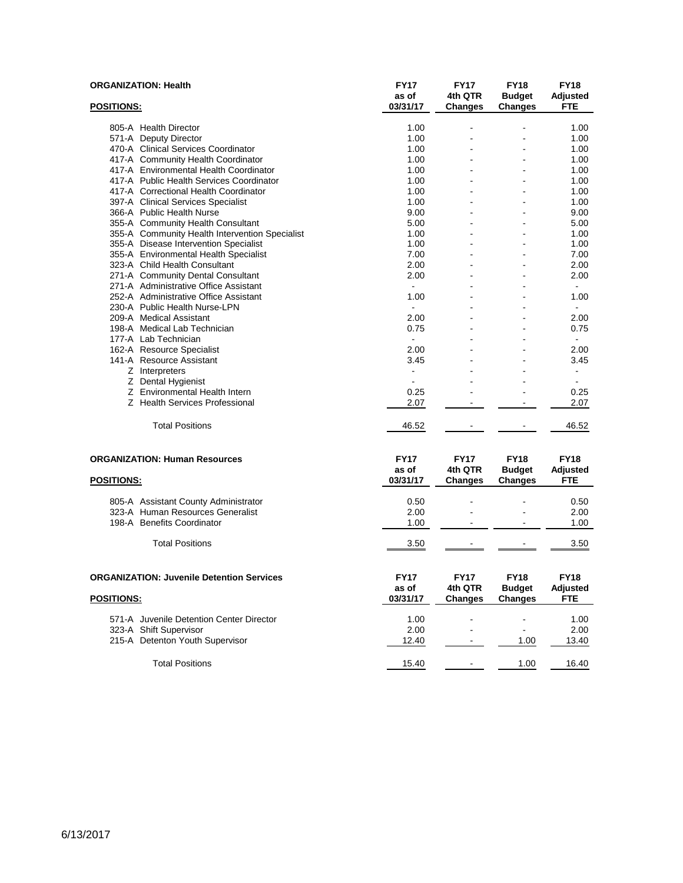|                   | <b>ORGANIZATION: Health</b>                      | <b>FY17</b><br>as of | <b>FY17</b><br>4th QTR | <b>FY18</b><br><b>Budget</b> | <b>FY18</b><br>Adjusted |
|-------------------|--------------------------------------------------|----------------------|------------------------|------------------------------|-------------------------|
| <b>POSITIONS:</b> |                                                  | 03/31/17             | <b>Changes</b>         | <b>Changes</b>               | FTE                     |
|                   |                                                  |                      |                        |                              | 1.00                    |
|                   | 805-A Health Director<br>571-A Deputy Director   | 1.00<br>1.00         |                        |                              | 1.00                    |
|                   | 470-A Clinical Services Coordinator              | 1.00                 |                        |                              | 1.00                    |
|                   | 417-A Community Health Coordinator               | 1.00                 |                        |                              | 1.00                    |
|                   | 417-A Environmental Health Coordinator           | 1.00                 |                        |                              | 1.00                    |
|                   | 417-A Public Health Services Coordinator         | 1.00                 |                        |                              | 1.00                    |
|                   | 417-A Correctional Health Coordinator            | 1.00                 |                        |                              | 1.00                    |
|                   | 397-A Clinical Services Specialist               | 1.00                 |                        |                              | 1.00                    |
|                   | 366-A Public Health Nurse                        | 9.00                 |                        |                              | 9.00                    |
|                   | 355-A Community Health Consultant                | 5.00                 |                        |                              | 5.00                    |
|                   | 355-A Community Health Intervention Specialist   | 1.00                 |                        |                              | 1.00                    |
|                   | 355-A Disease Intervention Specialist            | 1.00                 |                        |                              | 1.00                    |
|                   | 355-A Environmental Health Specialist            | 7.00                 |                        |                              | 7.00                    |
|                   | 323-A Child Health Consultant                    | 2.00                 |                        |                              | 2.00                    |
|                   | 271-A Community Dental Consultant                | 2.00                 |                        |                              | 2.00                    |
|                   | 271-A Administrative Office Assistant            |                      |                        |                              |                         |
|                   | 252-A Administrative Office Assistant            | 1.00                 |                        |                              | 1.00                    |
|                   | 230-A Public Health Nurse-LPN                    |                      |                        |                              | $\blacksquare$          |
|                   | 209-A Medical Assistant                          | 2.00                 |                        |                              | 2.00                    |
|                   | 198-A Medical Lab Technician                     | 0.75                 |                        |                              | 0.75                    |
|                   | 177-A Lab Technician                             |                      |                        |                              |                         |
|                   | 162-A Resource Specialist                        | 2.00                 |                        |                              | 2.00                    |
|                   | 141-A Resource Assistant                         | 3.45                 |                        |                              | 3.45                    |
|                   | Z Interpreters                                   |                      |                        |                              | $\blacksquare$          |
|                   | Z Dental Hygienist                               | ÷                    |                        |                              | $\blacksquare$          |
|                   | Z Environmental Health Intern                    | 0.25                 |                        |                              | 0.25                    |
|                   | Z Health Services Professional                   | 2.07                 | $\sim$                 | $\sim$                       | 2.07                    |
|                   |                                                  |                      |                        |                              |                         |
|                   | <b>Total Positions</b>                           | 46.52                |                        |                              | 46.52                   |
|                   |                                                  |                      |                        |                              |                         |
|                   | <b>ORGANIZATION: Human Resources</b>             | <b>FY17</b>          | <b>FY17</b>            | <b>FY18</b>                  | <b>FY18</b>             |
|                   |                                                  | as of                | 4th QTR                | <b>Budget</b>                | Adjusted                |
| <b>POSITIONS:</b> |                                                  | 03/31/17             | <b>Changes</b>         | <b>Changes</b>               | FTE                     |
|                   |                                                  |                      |                        |                              |                         |
|                   | 805-A Assistant County Administrator             | 0.50                 |                        |                              | 0.50                    |
|                   | 323-A Human Resources Generalist                 | 2.00                 |                        |                              | 2.00                    |
|                   | 198-A Benefits Coordinator                       | 1.00                 |                        |                              | 1.00                    |
|                   | <b>Total Positions</b>                           | 3.50                 |                        |                              | 3.50                    |
|                   |                                                  |                      |                        |                              |                         |
|                   | <b>ORGANIZATION: Juvenile Detention Services</b> | <b>FY17</b>          | <b>FY17</b>            | <b>FY18</b>                  | <b>FY18</b>             |
|                   |                                                  | as of                | 4th QTR                | <b>Budget</b>                | Adjusted                |
| <b>POSITIONS:</b> |                                                  | 03/31/17             | <b>Changes</b>         | <b>Changes</b>               | <b>FTE</b>              |
|                   |                                                  |                      |                        |                              |                         |
|                   | 571-A Juvenile Detention Center Director         | 1.00                 |                        |                              | 1.00                    |
|                   | 323-A Shift Supervisor                           | 2.00                 | $\blacksquare$         | $\blacksquare$               | 2.00                    |
|                   | 215-A Detenton Youth Supervisor                  | 12.40                |                        | 1.00                         | 13.40                   |
|                   | <b>Total Positions</b>                           | 15.40                |                        | 1.00                         | 16.40                   |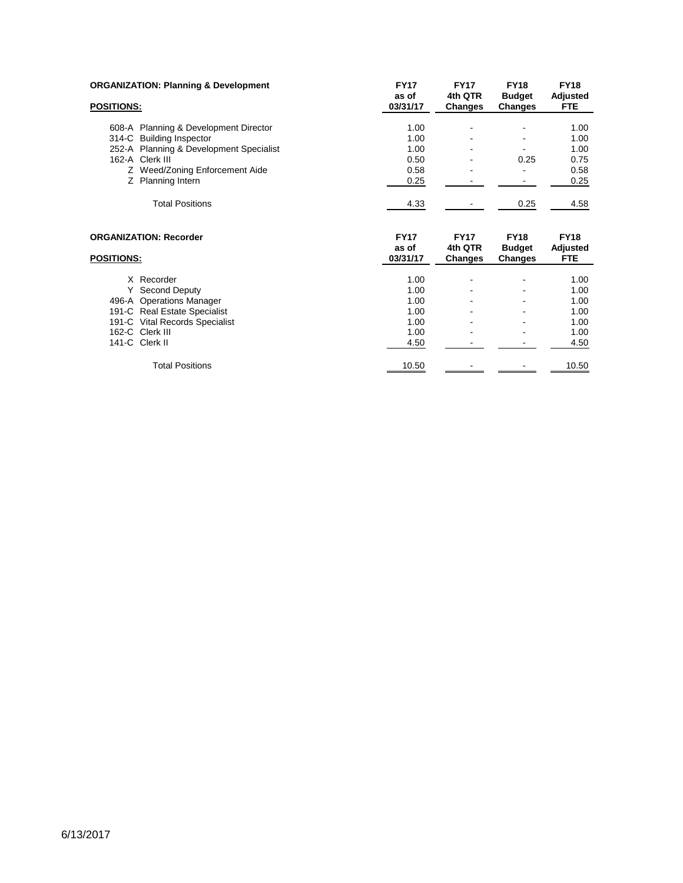| <b>ORGANIZATION: Planning &amp; Development</b> | <b>FY17</b>       | <b>FY17</b>               | <b>FY18</b>              | <b>FY18</b>      |
|-------------------------------------------------|-------------------|---------------------------|--------------------------|------------------|
|                                                 | as of             | 4th QTR                   | <b>Budget</b>            | Adjusted         |
| <b>POSITIONS:</b>                               | 03/31/17          | <b>Changes</b>            | Changes                  | <b>FTE</b>       |
| 608-A Planning & Development Director           | 1.00              |                           |                          | 1.00             |
| 314-C Building Inspector                        | 1.00              |                           |                          | 1.00             |
| 252-A Planning & Development Specialist         | 1.00              |                           |                          | 1.00             |
| 162-A Clerk III                                 | 0.50              |                           | 0.25                     | 0.75             |
| Z Weed/Zoning Enforcement Aide                  | 0.58              |                           |                          | 0.58             |
| Z Planning Intern                               | 0.25              |                           |                          | 0.25             |
| <b>Total Positions</b>                          | 4.33              |                           | 0.25                     | 4.58             |
|                                                 |                   |                           |                          |                  |
| <b>ORGANIZATION: Recorder</b>                   | <b>FY17</b>       | <b>FY17</b>               | <b>FY18</b>              | <b>FY18</b>      |
| <b>POSITIONS:</b>                               | as of<br>03/31/17 | 4th QTR<br><b>Changes</b> | <b>Budget</b><br>Changes | Adjusted<br>FTE. |
| X Recorder                                      | 1.00              |                           |                          | 1.00             |
| Y Second Deputy                                 | 1.00              |                           |                          | 1.00             |
| 496-A Operations Manager                        | 1.00              |                           |                          | 1.00             |
| 191-C Real Estate Specialist                    | 1.00              |                           |                          | 1.00             |
| 191-C Vital Records Specialist                  | 1.00              |                           |                          | 1.00             |
| 162-C Clerk III                                 | 1.00              |                           |                          | 1.00             |
| 141-C Clerk II                                  | 4.50              |                           |                          | 4.50             |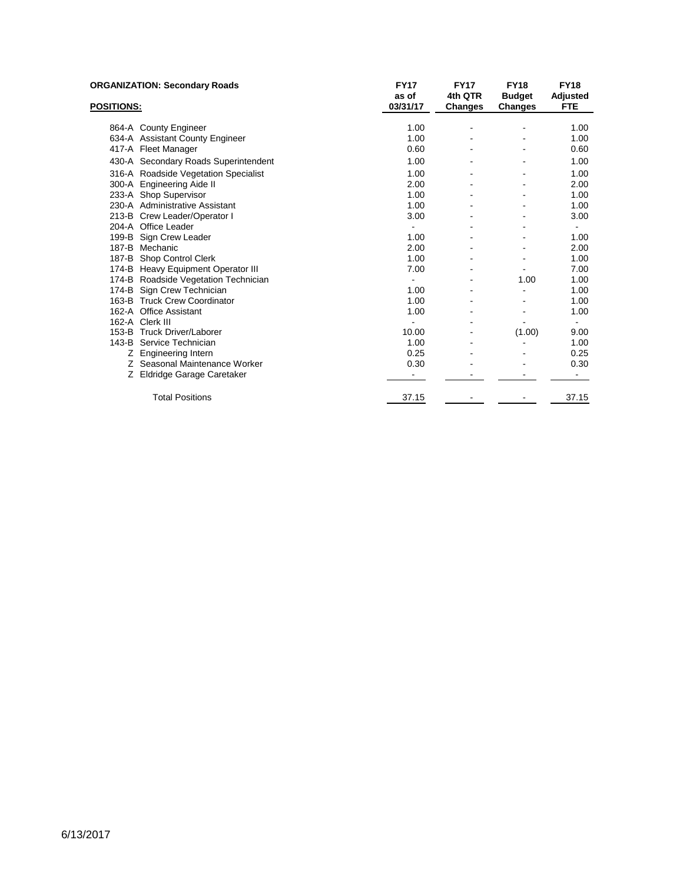| <b>ORGANIZATION: Secondary Roads</b> |                                      | <b>FY17</b><br>as of | <b>FY17</b><br>4th QTR | <b>FY18</b><br><b>Budget</b> | <b>FY18</b><br>Adjusted |
|--------------------------------------|--------------------------------------|----------------------|------------------------|------------------------------|-------------------------|
| <b>POSITIONS:</b>                    |                                      | 03/31/17             | <b>Changes</b>         | Changes                      | <b>FTE</b>              |
|                                      | 864-A County Engineer                | 1.00                 |                        |                              | 1.00                    |
|                                      | 634-A Assistant County Engineer      | 1.00                 |                        |                              | 1.00                    |
|                                      | 417-A Fleet Manager                  | 0.60                 |                        |                              | 0.60                    |
|                                      | 430-A Secondary Roads Superintendent | 1.00                 |                        |                              | 1.00                    |
|                                      | 316-A Roadside Vegetation Specialist | 1.00                 |                        |                              | 1.00                    |
|                                      | 300-A Engineering Aide II            | 2.00                 |                        |                              | 2.00                    |
|                                      | 233-A Shop Supervisor                | 1.00                 |                        |                              | 1.00                    |
|                                      | 230-A Administrative Assistant       | 1.00                 |                        |                              | 1.00                    |
|                                      | 213-B Crew Leader/Operator I         | 3.00                 |                        |                              | 3.00                    |
|                                      | 204-A Office Leader                  |                      |                        |                              |                         |
|                                      | 199-B Sign Crew Leader               | 1.00                 |                        |                              | 1.00                    |
|                                      | 187-B Mechanic                       | 2.00                 |                        |                              | 2.00                    |
|                                      | 187-B Shop Control Clerk             | 1.00                 |                        |                              | 1.00                    |
|                                      | 174-B Heavy Equipment Operator III   | 7.00                 |                        |                              | 7.00                    |
|                                      | 174-B Roadside Vegetation Technician |                      |                        | 1.00                         | 1.00                    |
|                                      | 174-B Sign Crew Technician           | 1.00                 |                        |                              | 1.00                    |
|                                      | 163-B Truck Crew Coordinator         | 1.00                 |                        |                              | 1.00                    |
|                                      | 162-A Office Assistant               | 1.00                 |                        |                              | 1.00                    |
|                                      | 162-A Clerk III                      |                      |                        |                              | $\blacksquare$          |
|                                      | 153-B Truck Driver/Laborer           | 10.00                |                        | (1.00)                       | 9.00                    |
|                                      | 143-B Service Technician             | 1.00                 |                        |                              | 1.00                    |
|                                      | Z Engineering Intern                 | 0.25                 |                        |                              | 0.25                    |
|                                      | Z Seasonal Maintenance Worker        | 0.30                 |                        |                              | 0.30                    |
| Z.                                   | Eldridge Garage Caretaker            |                      |                        |                              |                         |
|                                      | <b>Total Positions</b>               | 37.15                |                        |                              | 37.15                   |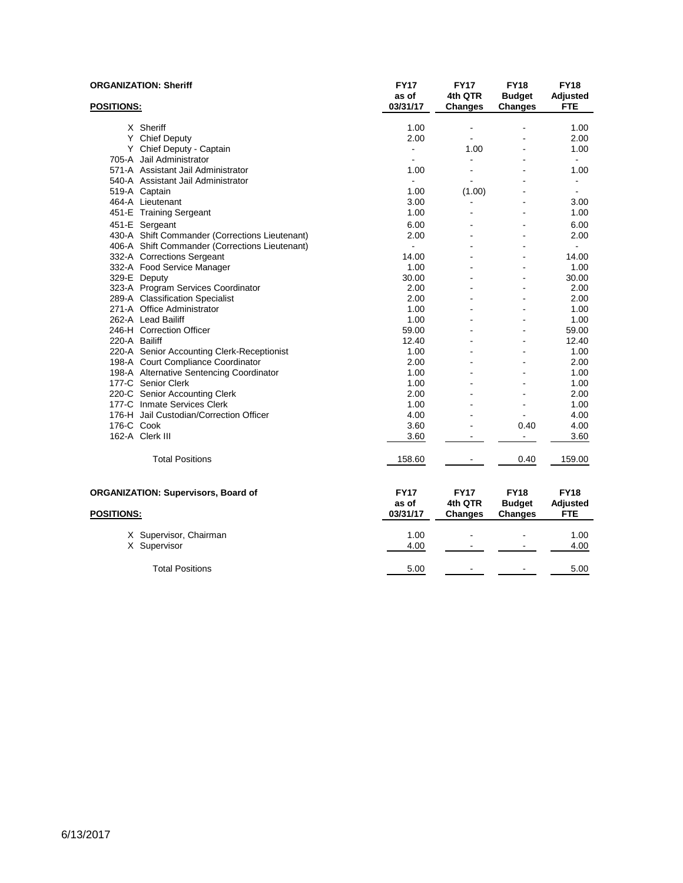|                   | <b>ORGANIZATION: Sheriff</b>                   | <b>FY17</b><br>as of | <b>FY17</b><br>4th QTR    | <b>FY18</b><br><b>Budget</b> | <b>FY18</b><br>Adjusted |
|-------------------|------------------------------------------------|----------------------|---------------------------|------------------------------|-------------------------|
| <b>POSITIONS:</b> |                                                | 03/31/17             | <b>Changes</b>            | <b>Changes</b>               | FTE                     |
|                   | X Sheriff                                      | 1.00                 | ä,                        |                              | 1.00                    |
|                   | Y Chief Deputy                                 | 2.00                 |                           |                              | 2.00                    |
|                   | Y Chief Deputy - Captain                       | $\blacksquare$       | 1.00                      |                              | 1.00                    |
|                   | 705-A Jail Administrator                       |                      | $\overline{a}$            |                              |                         |
|                   | 571-A Assistant Jail Administrator             | 1.00                 |                           |                              | 1.00                    |
|                   | 540-A Assistant Jail Administrator             |                      |                           |                              |                         |
|                   | 519-A Captain                                  | 1.00                 | (1.00)                    |                              | $\blacksquare$          |
|                   | 464-A Lieutenant                               | 3.00                 |                           |                              | 3.00                    |
|                   | 451-E Training Sergeant                        | 1.00                 |                           |                              | 1.00                    |
|                   | 451-E Sergeant                                 | 6.00                 |                           |                              | 6.00                    |
|                   | 430-A Shift Commander (Corrections Lieutenant) | 2.00                 |                           |                              | 2.00                    |
|                   | 406-A Shift Commander (Corrections Lieutenant) |                      |                           |                              |                         |
|                   | 332-A Corrections Sergeant                     | 14.00                |                           |                              | 14.00                   |
|                   | 332-A Food Service Manager                     | 1.00                 |                           |                              | 1.00                    |
|                   | 329-E Deputy                                   | 30.00                |                           |                              | 30.00                   |
|                   | 323-A Program Services Coordinator             | 2.00                 |                           |                              | 2.00                    |
|                   | 289-A Classification Specialist                | 2.00                 |                           |                              | 2.00                    |
|                   | 271-A Office Administrator                     | 1.00                 |                           |                              | 1.00                    |
|                   | 262-A Lead Bailiff                             | 1.00                 |                           |                              | 1.00                    |
|                   | 246-H Correction Officer                       | 59.00                |                           |                              | 59.00                   |
| 220-A Bailiff     |                                                | 12.40                |                           |                              | 12.40                   |
|                   | 220-A Senior Accounting Clerk-Receptionist     | 1.00                 |                           |                              | 1.00                    |
|                   | 198-A Court Compliance Coordinator             | 2.00                 |                           |                              | 2.00                    |
|                   | 198-A Alternative Sentencing Coordinator       | 1.00                 |                           |                              | 1.00                    |
|                   | 177-C Senior Clerk                             | 1.00                 |                           |                              | 1.00                    |
|                   | 220-C Senior Accounting Clerk                  | 2.00                 |                           |                              | 2.00                    |
|                   | 177-C Inmate Services Clerk                    | 1.00                 |                           |                              | 1.00                    |
|                   | 176-H Jail Custodian/Correction Officer        | 4.00                 |                           |                              | 4.00                    |
| 176-C Cook        |                                                | 3.60                 |                           | 0.40                         | 4.00                    |
|                   | 162-A Clerk III                                | 3.60                 | $\overline{a}$            | $\mathbf{r}$                 | 3.60                    |
|                   | <b>Total Positions</b>                         | 158.60               |                           | 0.40                         | 159.00                  |
|                   | <b>ORGANIZATION: Supervisors, Board of</b>     | <b>FY17</b>          | <b>FY17</b>               | <b>FY18</b>                  | <b>FY18</b>             |
| <b>POSITIONS:</b> |                                                | as of<br>03/31/17    | 4th QTR<br><b>Changes</b> | <b>Budget</b><br>Changes     | Adjusted<br>FTE         |
|                   | X Supervisor, Chairman                         | 1.00                 |                           |                              | 1.00                    |
|                   | X Supervisor                                   | 4.00                 | $\blacksquare$            |                              | 4.00                    |
|                   | <b>Total Positions</b>                         | 5.00                 | $\overline{a}$            | $\overline{\phantom{a}}$     | 5.00                    |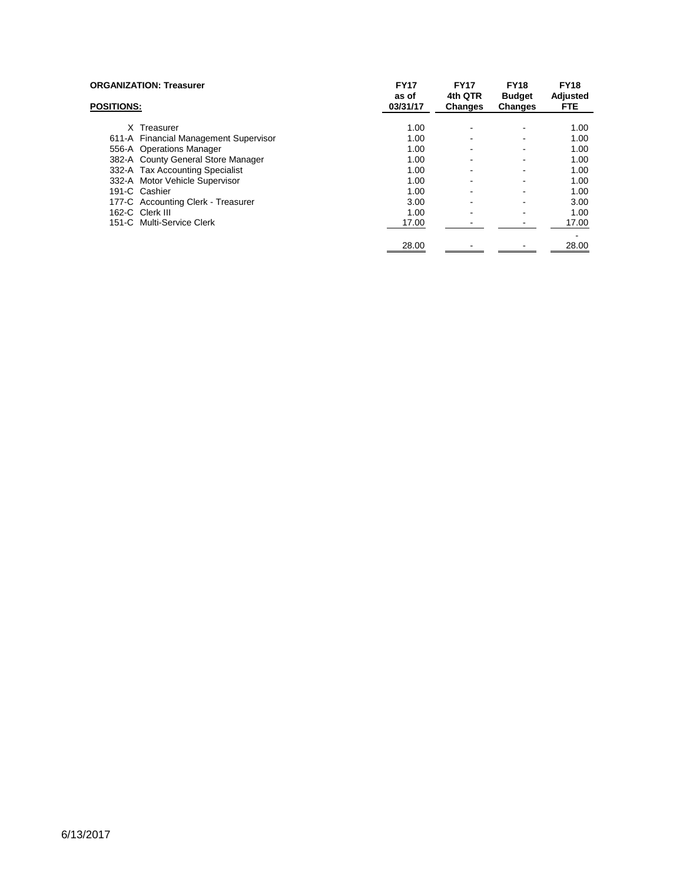| <b>ORGANIZATION: Treasurer</b>        | <b>FY17</b><br>as of | <b>FY17</b><br>4th QTR | <b>FY18</b><br><b>Budget</b> | <b>FY18</b><br>Adjusted |
|---------------------------------------|----------------------|------------------------|------------------------------|-------------------------|
| <b>POSITIONS:</b>                     | 03/31/17             | <b>Changes</b>         | Changes                      | FTE.                    |
| X Treasurer                           | 1.00                 | $\sim$                 | $\overline{\phantom{0}}$     | 1.00                    |
| 611-A Financial Management Supervisor | 1.00                 |                        | $\blacksquare$               | 1.00                    |
| 556-A Operations Manager              | 1.00                 |                        | $\blacksquare$               | 1.00                    |
| 382-A County General Store Manager    | 1.00                 |                        | $\overline{\phantom{a}}$     | 1.00                    |
| 332-A Tax Accounting Specialist       | 1.00                 |                        | ٠                            | 1.00                    |
| 332-A Motor Vehicle Supervisor        | 1.00                 |                        | $\blacksquare$               | 1.00                    |
| 191-C Cashier                         | 1.00                 |                        | $\overline{\phantom{a}}$     | 1.00                    |
| 177-C Accounting Clerk - Treasurer    | 3.00                 |                        | $\blacksquare$               | 3.00                    |
| 162-C Clerk III                       | 1.00                 |                        |                              | 1.00                    |
| 151-C Multi-Service Clerk             | 17.00                |                        |                              | 17.00                   |
|                                       |                      |                        |                              | ۰                       |
|                                       | 28.00                |                        |                              | 28.00                   |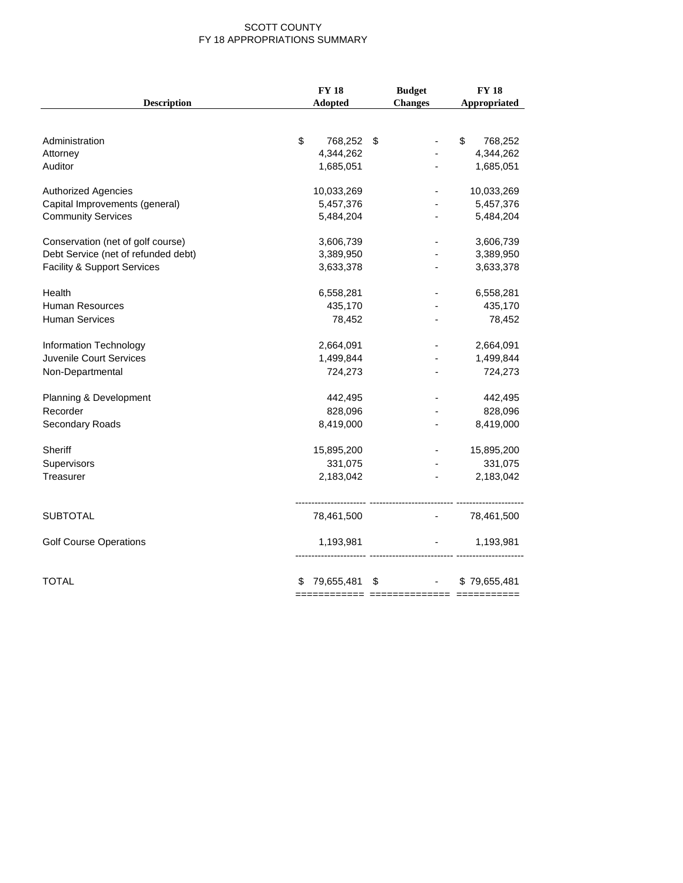#### SCOTT COUNTY FY 18 APPROPRIATIONS SUMMARY

|                                     | <b>FY18</b>      | <b>Budget</b>  | <b>FY18</b>   |
|-------------------------------------|------------------|----------------|---------------|
| <b>Description</b>                  | Adopted          | <b>Changes</b> | Appropriated  |
|                                     |                  |                |               |
| Administration                      | \$<br>768,252    | \$             | \$<br>768,252 |
| Attorney                            | 4,344,262        |                | 4,344,262     |
| Auditor                             | 1,685,051        |                | 1,685,051     |
| <b>Authorized Agencies</b>          | 10,033,269       |                | 10,033,269    |
| Capital Improvements (general)      | 5,457,376        |                | 5,457,376     |
| <b>Community Services</b>           | 5,484,204        |                | 5,484,204     |
| Conservation (net of golf course)   | 3,606,739        |                | 3,606,739     |
| Debt Service (net of refunded debt) | 3,389,950        |                | 3,389,950     |
| Facility & Support Services         | 3,633,378        |                | 3,633,378     |
| Health                              | 6,558,281        |                | 6,558,281     |
| Human Resources                     | 435,170          |                | 435,170       |
| <b>Human Services</b>               | 78,452           |                | 78,452        |
| Information Technology              | 2,664,091        |                | 2,664,091     |
| Juvenile Court Services             | 1,499,844        |                | 1,499,844     |
| Non-Departmental                    | 724,273          |                | 724,273       |
| Planning & Development              | 442,495          |                | 442,495       |
| Recorder                            | 828,096          |                | 828,096       |
| Secondary Roads                     | 8,419,000        |                | 8,419,000     |
| Sheriff                             | 15,895,200       |                | 15,895,200    |
| Supervisors                         | 331,075          |                | 331,075       |
| Treasurer                           | 2,183,042        |                | 2,183,042     |
|                                     |                  |                |               |
| <b>SUBTOTAL</b>                     | 78,461,500       |                | 78,461,500    |
| <b>Golf Course Operations</b>       | 1,193,981        |                | 1,193,981     |
| <b>TOTAL</b>                        | 79,655,481<br>\$ | \$             | \$79,655,481  |
|                                     |                  |                |               |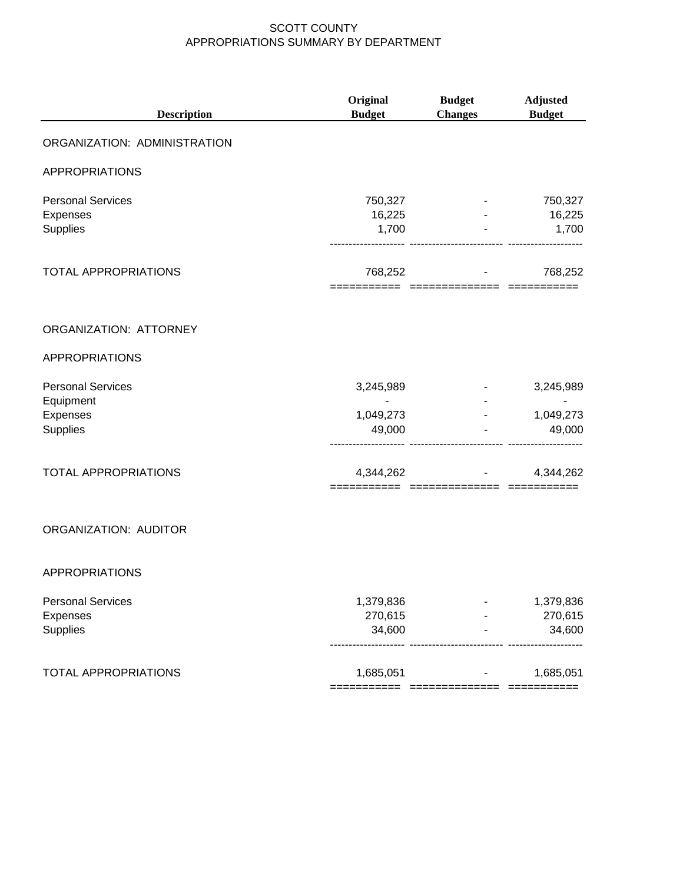| <b>Description</b>                    | Original<br><b>Budget</b>       | <b>Budget</b><br><b>Changes</b> | <b>Adjusted</b><br><b>Budget</b> |
|---------------------------------------|---------------------------------|---------------------------------|----------------------------------|
| ORGANIZATION: ADMINISTRATION          |                                 |                                 |                                  |
| <b>APPROPRIATIONS</b>                 |                                 |                                 |                                  |
| <b>Personal Services</b>              | 750,327                         |                                 | 750,327                          |
| <b>Expenses</b><br>Supplies           | 16,225<br>1,700                 |                                 | 16,225<br>1,700                  |
| <b>TOTAL APPROPRIATIONS</b>           | 768,252<br>==================== |                                 | 768,252                          |
| ORGANIZATION: ATTORNEY                |                                 |                                 |                                  |
| <b>APPROPRIATIONS</b>                 |                                 |                                 |                                  |
| <b>Personal Services</b><br>Equipment | 3,245,989<br>$\overline{a}$     | $\sim 100$                      | 3,245,989                        |
| Expenses<br>Supplies                  | 1,049,273<br>49,000             |                                 | 1,049,273<br>49,000              |
| <b>TOTAL APPROPRIATIONS</b>           | 4,344,262                       |                                 | 4,344,262                        |
| ORGANIZATION: AUDITOR                 |                                 |                                 |                                  |
| <b>APPROPRIATIONS</b>                 |                                 |                                 |                                  |
| <b>Personal Services</b><br>Expenses  | 1,379,836<br>270,615            |                                 | 1,379,836<br>270,615             |
| Supplies                              | 34,600                          |                                 | 34,600                           |
| <b>TOTAL APPROPRIATIONS</b>           | 1,685,051                       |                                 | 1,685,051                        |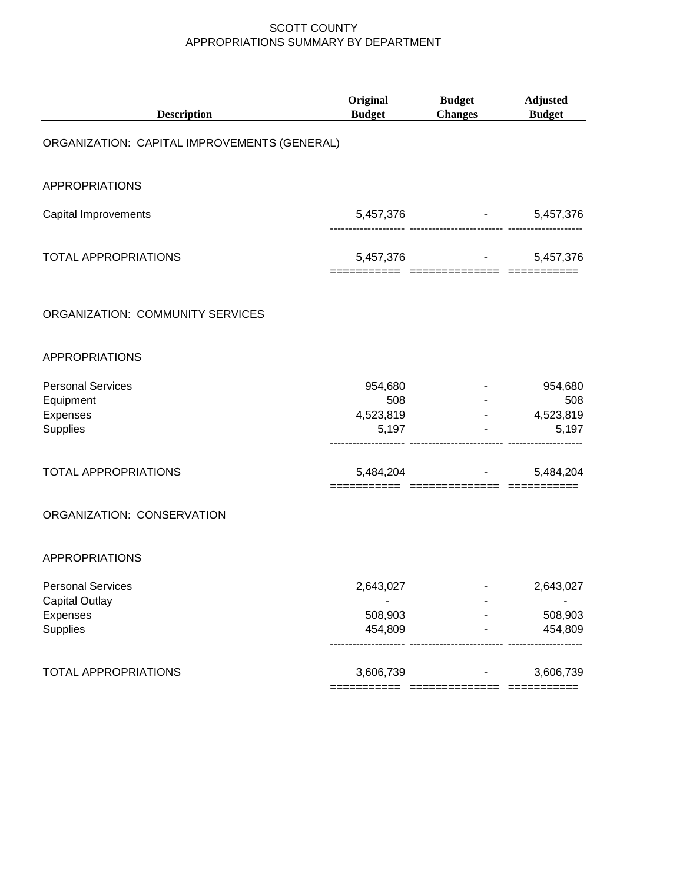| <b>Description</b>                                                        | Original<br><b>Budget</b>            | <b>Budget</b><br><b>Changes</b>                     | <b>Adjusted</b><br><b>Budget</b>     |
|---------------------------------------------------------------------------|--------------------------------------|-----------------------------------------------------|--------------------------------------|
| ORGANIZATION: CAPITAL IMPROVEMENTS (GENERAL)                              |                                      |                                                     |                                      |
| <b>APPROPRIATIONS</b>                                                     |                                      |                                                     |                                      |
| Capital Improvements                                                      | 5,457,376                            | <b>Harry Committee</b><br>----- ------------------- | 5,457,376                            |
| <b>TOTAL APPROPRIATIONS</b>                                               | 5,457,376                            | ===========================                         | 5,457,376<br>$=$ ==========          |
| ORGANIZATION: COMMUNITY SERVICES                                          |                                      |                                                     |                                      |
| <b>APPROPRIATIONS</b>                                                     |                                      |                                                     |                                      |
| <b>Personal Services</b><br>Equipment<br>Expenses<br>Supplies             | 954,680<br>508<br>4,523,819<br>5,197 | ------------------                                  | 954,680<br>508<br>4,523,819<br>5,197 |
| <b>TOTAL APPROPRIATIONS</b>                                               | 5,484,204                            |                                                     | 5,484,204                            |
| ORGANIZATION: CONSERVATION                                                |                                      |                                                     |                                      |
| <b>APPROPRIATIONS</b>                                                     |                                      |                                                     |                                      |
| <b>Personal Services</b><br><b>Capital Outlay</b><br>Expenses<br>Supplies | 2,643,027<br>508,903<br>454,809      |                                                     | 2,643,027<br>508,903<br>454,809      |
| <b>TOTAL APPROPRIATIONS</b>                                               | 3,606,739                            |                                                     | 3,606,739                            |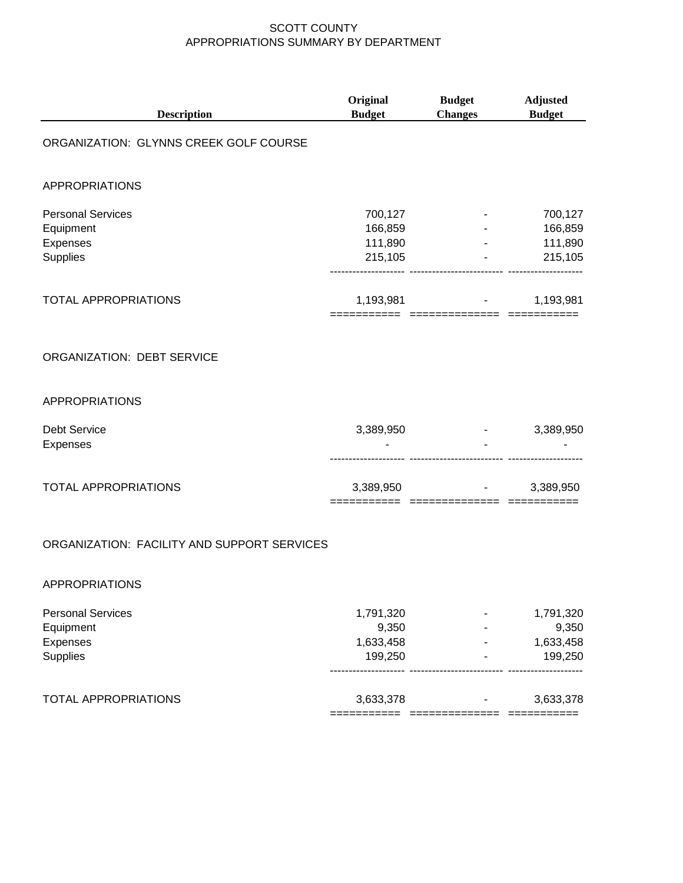| <b>Description</b>                                            | Original<br><b>Budget</b>                  | <b>Budget</b><br><b>Changes</b> | <b>Adjusted</b><br><b>Budget</b>                                         |
|---------------------------------------------------------------|--------------------------------------------|---------------------------------|--------------------------------------------------------------------------|
| ORGANIZATION: GLYNNS CREEK GOLF COURSE                        |                                            |                                 |                                                                          |
| <b>APPROPRIATIONS</b>                                         |                                            |                                 |                                                                          |
| <b>Personal Services</b><br>Equipment<br>Expenses<br>Supplies | 700,127<br>166,859<br>111,890<br>215,105   |                                 | 700,127<br>166,859<br>111,890<br><b>All Contract Contract</b><br>215,105 |
| <b>TOTAL APPROPRIATIONS</b>                                   |                                            | 1,193,981 - 1,193,981           |                                                                          |
| ORGANIZATION: DEBT SERVICE                                    |                                            |                                 |                                                                          |
| <b>APPROPRIATIONS</b>                                         |                                            |                                 |                                                                          |
| <b>Debt Service</b><br><b>Expenses</b>                        | 3,389,950                                  |                                 | 3,389,950                                                                |
| <b>TOTAL APPROPRIATIONS</b>                                   |                                            | $3,389,950$ -                   | 3,389,950                                                                |
| ORGANIZATION: FACILITY AND SUPPORT SERVICES                   |                                            |                                 |                                                                          |
| <b>APPROPRIATIONS</b>                                         |                                            |                                 |                                                                          |
| <b>Personal Services</b><br>Equipment<br>Expenses<br>Supplies | 1,791,320<br>9,350<br>1,633,458<br>199,250 |                                 | 1,791,320<br>9,350<br>1,633,458<br>199,250                               |
| <b>TOTAL APPROPRIATIONS</b>                                   | 3,633,378                                  |                                 | 3,633,378                                                                |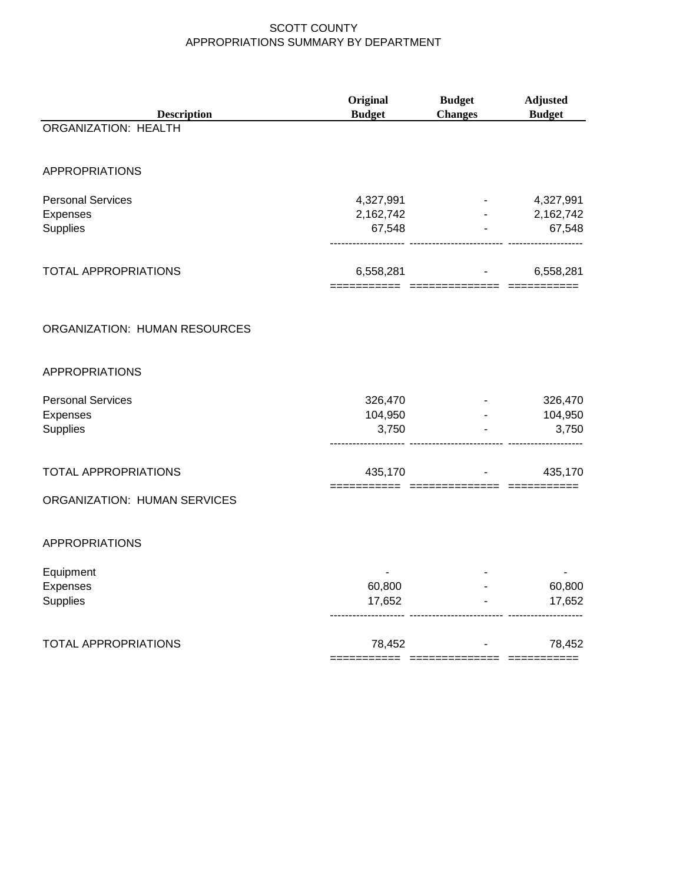| <b>Description</b>            | <b>Budget</b>       | <b>Changes</b>                                                     | <b>Budget</b>       |
|-------------------------------|---------------------|--------------------------------------------------------------------|---------------------|
| ORGANIZATION: HEALTH          |                     |                                                                    |                     |
| <b>APPROPRIATIONS</b>         |                     |                                                                    |                     |
| <b>Personal Services</b>      | 4,327,991           | <b>Harry Committee</b>                                             | 4,327,991           |
| Expenses<br>Supplies          | 2,162,742<br>67,548 | $\sigma_{\rm{max}}=0.01$<br>---------- --------------------------- | 2,162,742<br>67,548 |
| TOTAL APPROPRIATIONS          | 6,558,281           |                                                                    | 6,558,281           |
| ORGANIZATION: HUMAN RESOURCES |                     |                                                                    |                     |
| <b>APPROPRIATIONS</b>         |                     |                                                                    |                     |
| <b>Personal Services</b>      | 326,470             |                                                                    | 326,470             |
| Expenses<br>Supplies          | 104,950<br>3,750    | ------------------                                                 | 104,950<br>3,750    |
| <b>TOTAL APPROPRIATIONS</b>   | 435,170             |                                                                    | 435,170             |
| ORGANIZATION: HUMAN SERVICES  |                     |                                                                    |                     |
| <b>APPROPRIATIONS</b>         |                     |                                                                    |                     |
| Equipment                     |                     |                                                                    |                     |
| Expenses<br>Supplies          | 60,800<br>17,652    |                                                                    | 60,800<br>17,652    |
| TOTAL APPROPRIATIONS          | 78,452              | and the state of the                                               | 78,452              |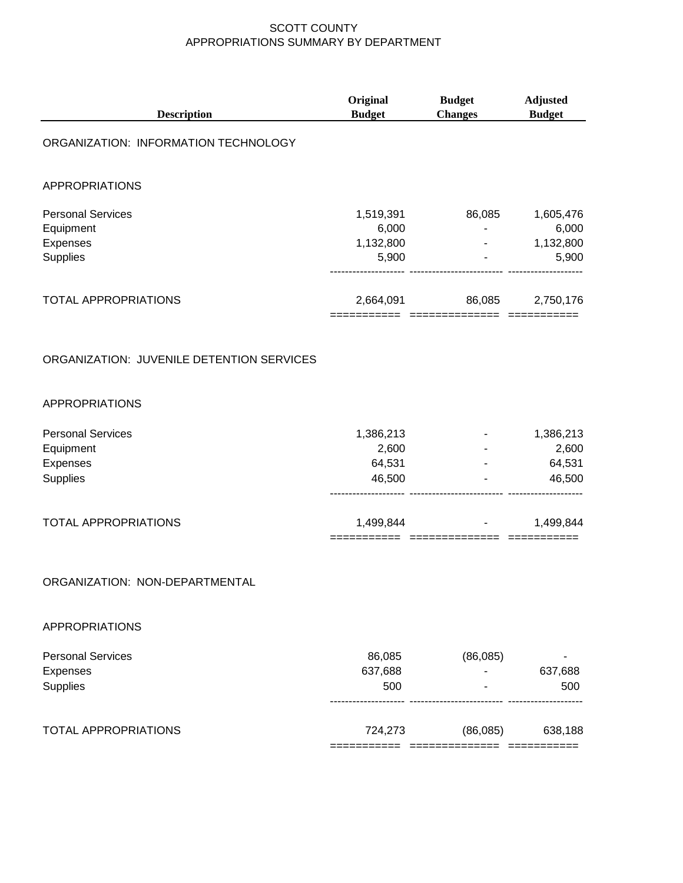| <b>Description</b>                                            | Original<br><b>Budget</b>                | <b>Budget</b><br><b>Changes</b> | <b>Adjusted</b><br><b>Budget</b>         |
|---------------------------------------------------------------|------------------------------------------|---------------------------------|------------------------------------------|
| ORGANIZATION: INFORMATION TECHNOLOGY                          |                                          |                                 |                                          |
| <b>APPROPRIATIONS</b>                                         |                                          |                                 |                                          |
| <b>Personal Services</b><br>Equipment<br>Expenses<br>Supplies | 1,519,391<br>6,000<br>1,132,800<br>5,900 | 86,085<br>$\blacksquare$        | 1,605,476<br>6,000<br>1,132,800<br>5,900 |
| <b>TOTAL APPROPRIATIONS</b>                                   | 2,664,091                                | 86,085                          | 2,750,176                                |
| ORGANIZATION: JUVENILE DETENTION SERVICES                     |                                          |                                 |                                          |
| <b>APPROPRIATIONS</b>                                         |                                          |                                 |                                          |
| <b>Personal Services</b><br>Equipment<br>Expenses<br>Supplies | 1,386,213<br>2,600<br>64,531<br>46,500   |                                 | 1,386,213<br>2,600<br>64,531<br>46,500   |
| <b>TOTAL APPROPRIATIONS</b>                                   | 1,499,844                                |                                 | 1,499,844                                |
| ORGANIZATION: NON-DEPARTMENTAL                                |                                          |                                 |                                          |
| <b>APPROPRIATIONS</b>                                         |                                          |                                 |                                          |
| <b>Personal Services</b><br>Expenses<br>Supplies              | 86,085<br>637,688<br>500                 | (86,085)                        | 637,688<br>500                           |
| <b>TOTAL APPROPRIATIONS</b>                                   | 724,273                                  | (86,085)                        | 638,188                                  |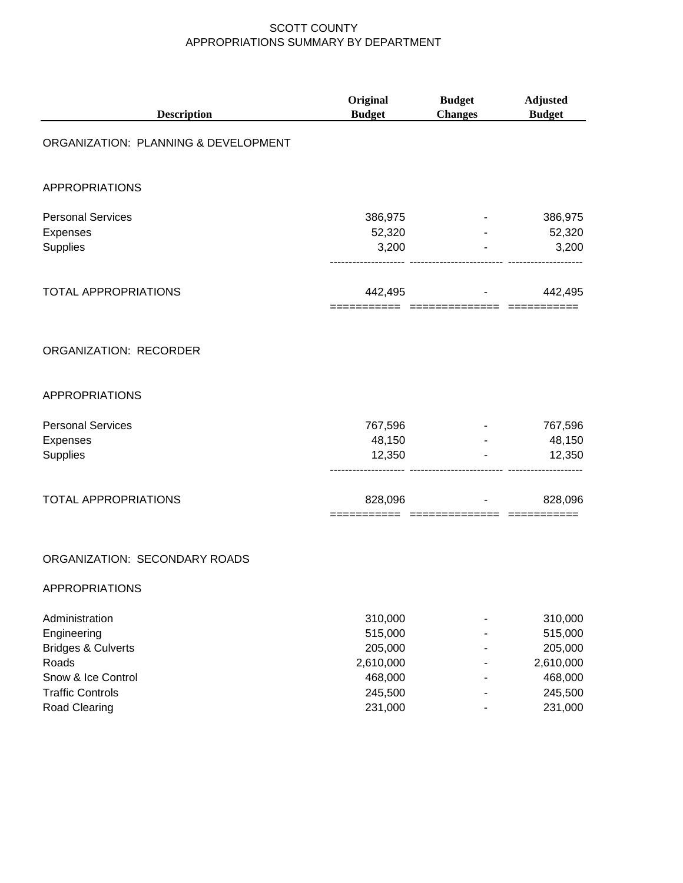| <b>Description</b>                                                                                                                        | Original<br><b>Budget</b>                                                   | <b>Budget</b><br><b>Changes</b>        | <b>Adjusted</b><br><b>Budget</b>                                            |
|-------------------------------------------------------------------------------------------------------------------------------------------|-----------------------------------------------------------------------------|----------------------------------------|-----------------------------------------------------------------------------|
| ORGANIZATION: PLANNING & DEVELOPMENT                                                                                                      |                                                                             |                                        |                                                                             |
| <b>APPROPRIATIONS</b>                                                                                                                     |                                                                             |                                        |                                                                             |
| <b>Personal Services</b><br>Expenses<br>Supplies                                                                                          | 386,975<br>52,320<br>3,200                                                  |                                        | 386,975<br>52,320<br>3,200                                                  |
| <b>TOTAL APPROPRIATIONS</b>                                                                                                               |                                                                             | 442,495 - 1<br>======================= | 442,495                                                                     |
| ORGANIZATION: RECORDER                                                                                                                    |                                                                             |                                        |                                                                             |
| <b>APPROPRIATIONS</b>                                                                                                                     |                                                                             |                                        |                                                                             |
| <b>Personal Services</b><br>Expenses<br>Supplies                                                                                          | 767,596<br>48,150<br>12,350                                                 |                                        | 767,596<br>48,150<br>12,350                                                 |
| <b>TOTAL APPROPRIATIONS</b>                                                                                                               |                                                                             | 828,096                                | 828,096                                                                     |
| ORGANIZATION: SECONDARY ROADS<br><b>APPROPRIATIONS</b>                                                                                    |                                                                             |                                        |                                                                             |
| Administration<br>Engineering<br><b>Bridges &amp; Culverts</b><br>Roads<br>Snow & Ice Control<br><b>Traffic Controls</b><br>Road Clearing | 310,000<br>515,000<br>205,000<br>2,610,000<br>468,000<br>245,500<br>231,000 |                                        | 310,000<br>515,000<br>205,000<br>2,610,000<br>468,000<br>245,500<br>231,000 |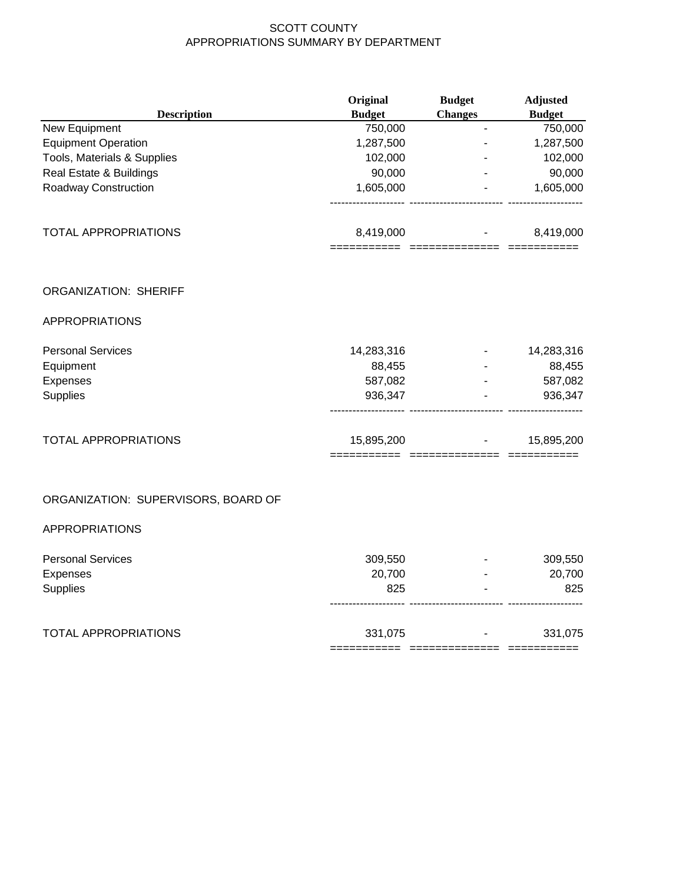|                                     | Original      | <b>Budget</b>  | <b>Adjusted</b> |
|-------------------------------------|---------------|----------------|-----------------|
| <b>Description</b>                  | <b>Budget</b> | <b>Changes</b> | <b>Budget</b>   |
| New Equipment                       | 750,000       | $\blacksquare$ | 750,000         |
| <b>Equipment Operation</b>          | 1,287,500     |                | 1,287,500       |
| Tools, Materials & Supplies         | 102,000       |                | 102,000         |
| Real Estate & Buildings             | 90,000        |                | 90,000          |
| Roadway Construction                | 1,605,000     |                | 1,605,000       |
| <b>TOTAL APPROPRIATIONS</b>         | 8,419,000     |                | 8,419,000       |
| <b>ORGANIZATION: SHERIFF</b>        |               |                |                 |
| <b>APPROPRIATIONS</b>               |               |                |                 |
| <b>Personal Services</b>            | 14,283,316    |                | 14,283,316      |
| Equipment                           | 88,455        |                | 88,455          |
| Expenses                            | 587,082       |                | 587,082         |
| Supplies                            | 936,347       |                | 936,347         |
| <b>TOTAL APPROPRIATIONS</b>         | 15,895,200    |                | 15,895,200      |
| ORGANIZATION: SUPERVISORS, BOARD OF |               |                |                 |
| <b>APPROPRIATIONS</b>               |               |                |                 |
| <b>Personal Services</b>            | 309,550       |                | 309,550         |
| Expenses                            | 20,700        |                | 20,700          |
| <b>Supplies</b>                     | 825           |                | 825             |

|                      | ___________<br>___________ | _______________<br>______________ | ____________<br>____________ |
|----------------------|----------------------------|-----------------------------------|------------------------------|
| TOTAL APPROPRIATIONS | 331,075                    |                                   |                              |
|                      |                            |                                   |                              |

-------------------- ------------------------- --------------------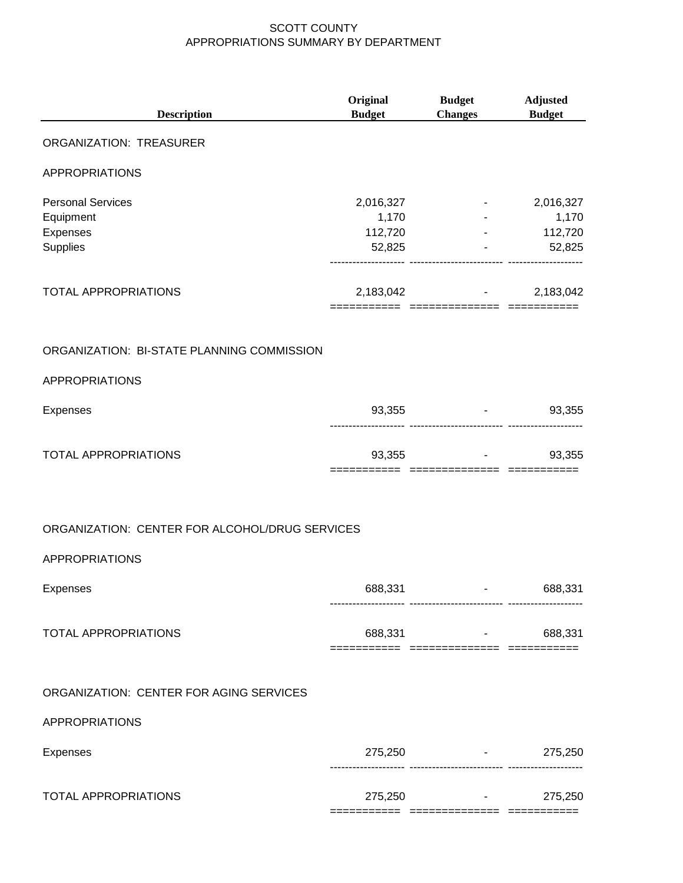| <b>Description</b>                                                          | Original<br><b>Budget</b>               | <b>Budget</b><br><b>Changes</b>                            | <b>Adjusted</b><br><b>Budget</b>        |
|-----------------------------------------------------------------------------|-----------------------------------------|------------------------------------------------------------|-----------------------------------------|
| ORGANIZATION: TREASURER                                                     |                                         |                                                            |                                         |
| <b>APPROPRIATIONS</b>                                                       |                                         |                                                            |                                         |
| <b>Personal Services</b><br>Equipment<br><b>Expenses</b><br><b>Supplies</b> | 2,016,327<br>1,170<br>112,720<br>52,825 | $\sim 100$ km s $^{-1}$<br>----------- ------------------- | 2,016,327<br>1,170<br>112,720<br>52,825 |
| TOTAL APPROPRIATIONS                                                        |                                         | 2,183,042 - 2,183,042                                      |                                         |
| ORGANIZATION: BI-STATE PLANNING COMMISSION                                  |                                         |                                                            |                                         |
| <b>APPROPRIATIONS</b>                                                       |                                         |                                                            |                                         |
| Expenses                                                                    | 93,355                                  |                                                            | 93,355                                  |
| TOTAL APPROPRIATIONS                                                        | 93,355                                  | ____________                                               | 93,355                                  |
| ORGANIZATION: CENTER FOR ALCOHOL/DRUG SERVICES                              |                                         |                                                            |                                         |
| APPROPRIATIONS                                                              |                                         |                                                            |                                         |
| Expenses                                                                    | 688,331                                 |                                                            | 688,331                                 |
| <b>TOTAL APPROPRIATIONS</b>                                                 |                                         | 688,331 - 1                                                | 688,331                                 |
| ORGANIZATION: CENTER FOR AGING SERVICES                                     |                                         |                                                            |                                         |
| APPROPRIATIONS                                                              |                                         |                                                            |                                         |
| Expenses                                                                    |                                         | $275,250$ -                                                | 275,250                                 |
| TOTAL APPROPRIATIONS                                                        |                                         | ------------------------- --------<br>$275,250$ -          | 275,250                                 |
|                                                                             |                                         |                                                            |                                         |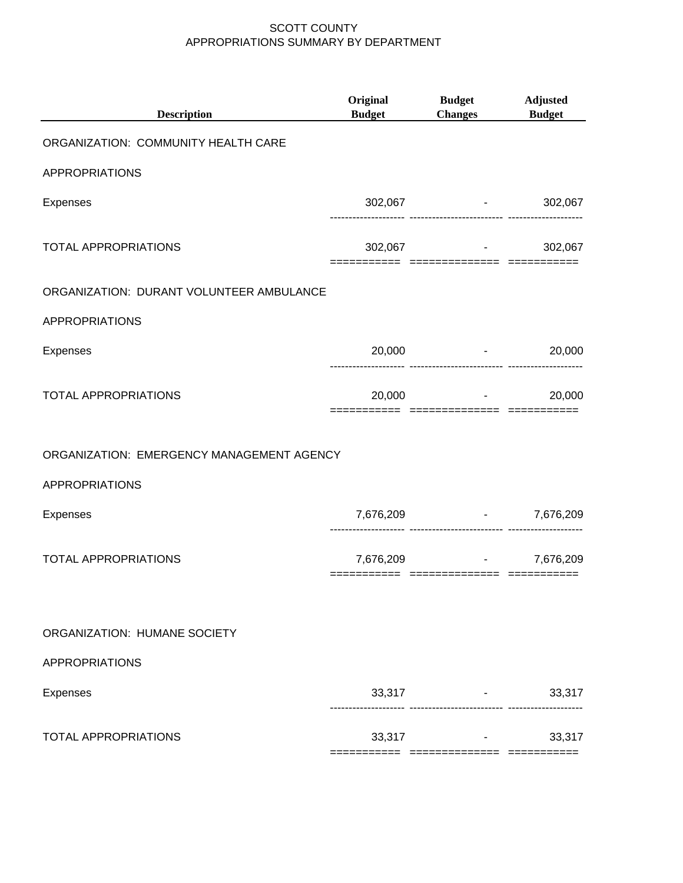| <b>Description</b>                        | Original<br><b>Budget</b> | <b>Budget</b><br><b>Changes</b>                 | <b>Adjusted</b><br><b>Budget</b> |
|-------------------------------------------|---------------------------|-------------------------------------------------|----------------------------------|
| ORGANIZATION: COMMUNITY HEALTH CARE       |                           |                                                 |                                  |
| <b>APPROPRIATIONS</b>                     |                           |                                                 |                                  |
| Expenses                                  |                           | 302,067 - 302,067                               |                                  |
| <b>TOTAL APPROPRIATIONS</b>               |                           | $302,067$ -<br>======== ============== ======== | 302,067                          |
| ORGANIZATION: DURANT VOLUNTEER AMBULANCE  |                           |                                                 |                                  |
| <b>APPROPRIATIONS</b>                     |                           |                                                 |                                  |
| Expenses                                  |                           | 20,000 - 20,000                                 |                                  |
| <b>TOTAL APPROPRIATIONS</b>               |                           | $20,000$ -                                      | 20,000                           |
| ORGANIZATION: EMERGENCY MANAGEMENT AGENCY |                           |                                                 |                                  |
| <b>APPROPRIATIONS</b>                     |                           |                                                 |                                  |
| Expenses                                  |                           | 7,676,209 - 7,676,209                           |                                  |
| <b>TOTAL APPROPRIATIONS</b>               |                           | 7,676,209                                       | 7,676,209                        |
| ORGANIZATION: HUMANE SOCIETY              |                           |                                                 |                                  |
| <b>APPROPRIATIONS</b>                     |                           |                                                 |                                  |
| Expenses                                  | 33,317                    |                                                 | 33,317                           |
| <b>TOTAL APPROPRIATIONS</b>               | 33,317                    |                                                 | 33,317                           |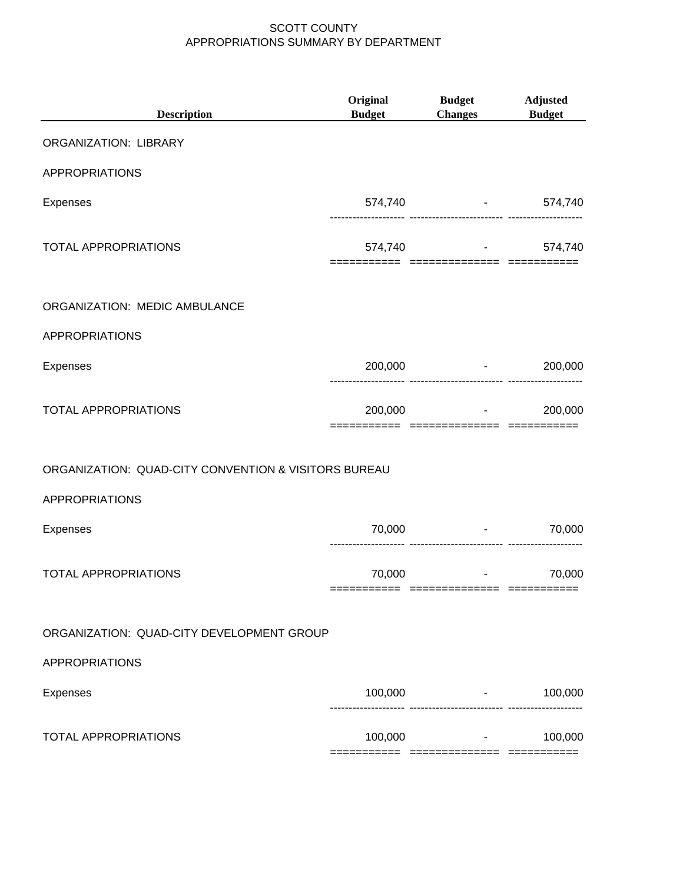| <b>Description</b>                                   | Original<br><b>Budget</b> | <b>Budget</b><br><b>Changes</b>                                                 | <b>Adjusted</b><br><b>Budget</b> |
|------------------------------------------------------|---------------------------|---------------------------------------------------------------------------------|----------------------------------|
| ORGANIZATION: LIBRARY                                |                           |                                                                                 |                                  |
| <b>APPROPRIATIONS</b>                                |                           |                                                                                 |                                  |
| <b>Expenses</b>                                      |                           | 574,740 - 574,740                                                               |                                  |
| <b>TOTAL APPROPRIATIONS</b>                          |                           | 574,740 - 574,740                                                               |                                  |
| ORGANIZATION: MEDIC AMBULANCE                        |                           |                                                                                 |                                  |
| <b>APPROPRIATIONS</b>                                |                           |                                                                                 |                                  |
| Expenses                                             |                           | $200,000$ -                                                                     | 200,000                          |
| <b>TOTAL APPROPRIATIONS</b>                          |                           | $200,000$ -<br>========================                                         | 200,000                          |
| ORGANIZATION: QUAD-CITY CONVENTION & VISITORS BUREAU |                           |                                                                                 |                                  |
| <b>APPROPRIATIONS</b>                                |                           |                                                                                 |                                  |
| Expenses                                             | 70,000                    | and the control of the control of the<br>------------------------- ------------ | 70,000                           |
| <b>TOTAL APPROPRIATIONS</b>                          | 70,000                    | and the state of the state of                                                   | 70,000                           |
| ORGANIZATION: QUAD-CITY DEVELOPMENT GROUP            |                           |                                                                                 |                                  |
| <b>APPROPRIATIONS</b>                                |                           |                                                                                 |                                  |
| Expenses                                             | 100,000                   |                                                                                 | 100,000                          |
| <b>TOTAL APPROPRIATIONS</b>                          | 100,000                   | and the control of the con-                                                     | 100,000                          |